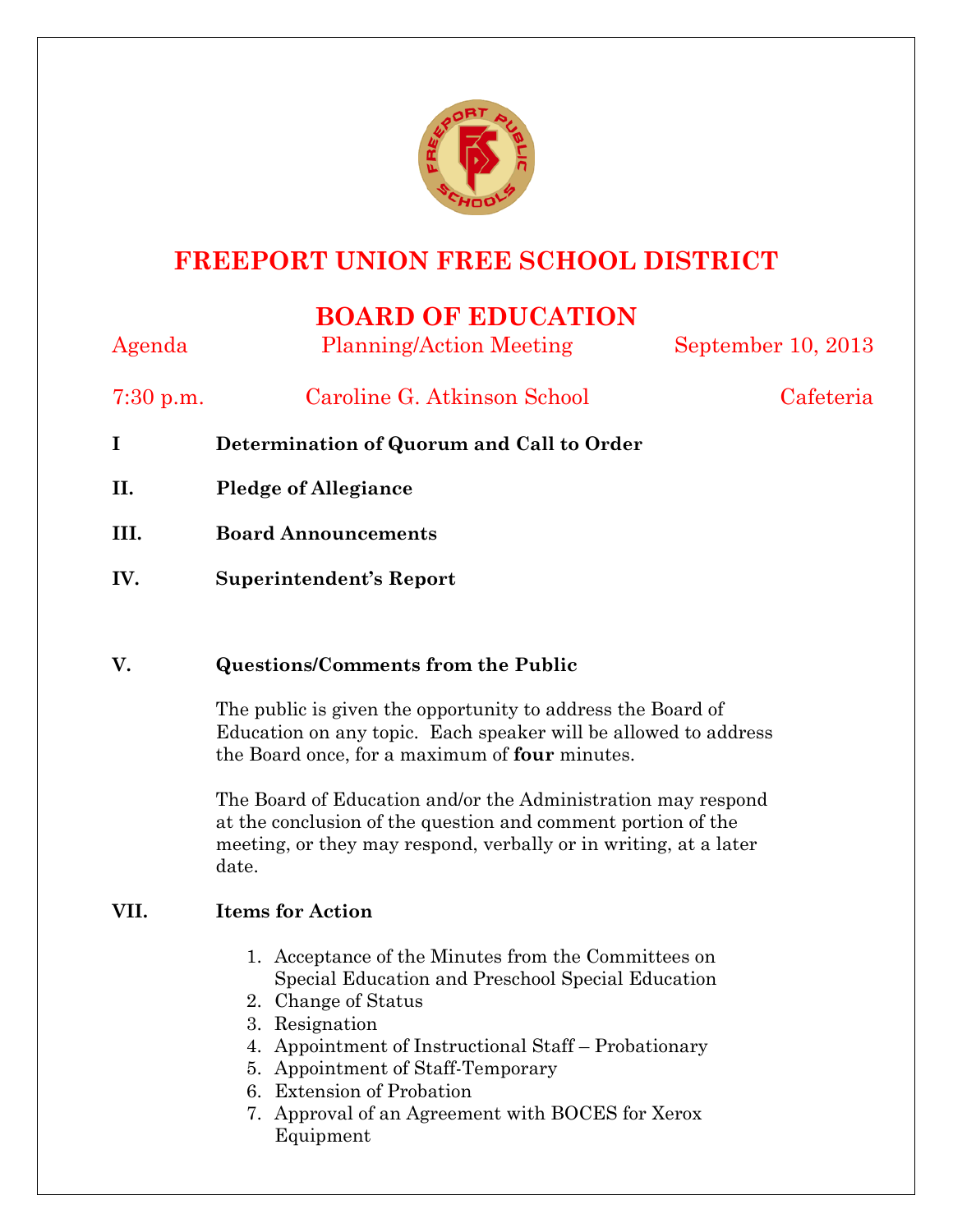

# **FREEPORT UNION FREE SCHOOL DISTRICT**

# **BOARD OF EDUCATION**

| Agenda      | <b>Planning/Action Meeting</b> | September 10, 2013 |
|-------------|--------------------------------|--------------------|
| $7:30$ p.m. | Caroline G. Atkinson School    | Cafeteria          |

- **I Determination of Quorum and Call to Order**
- **II. Pledge of Allegiance**
- **III. Board Announcements**
- **IV. Superintendent's Report**

## **V. Questions/Comments from the Public**

The public is given the opportunity to address the Board of Education on any topic. Each speaker will be allowed to address the Board once, for a maximum of **four** minutes.

The Board of Education and/or the Administration may respond at the conclusion of the question and comment portion of the meeting, or they may respond, verbally or in writing, at a later date.

## **VII. Items for Action**

- 1. Acceptance of the Minutes from the Committees on Special Education and Preschool Special Education
- 2. Change of Status
- 3. Resignation
- 4. Appointment of Instructional Staff Probationary
- 5. Appointment of Staff-Temporary
- 6. Extension of Probation
- 7. Approval of an Agreement with BOCES for Xerox Equipment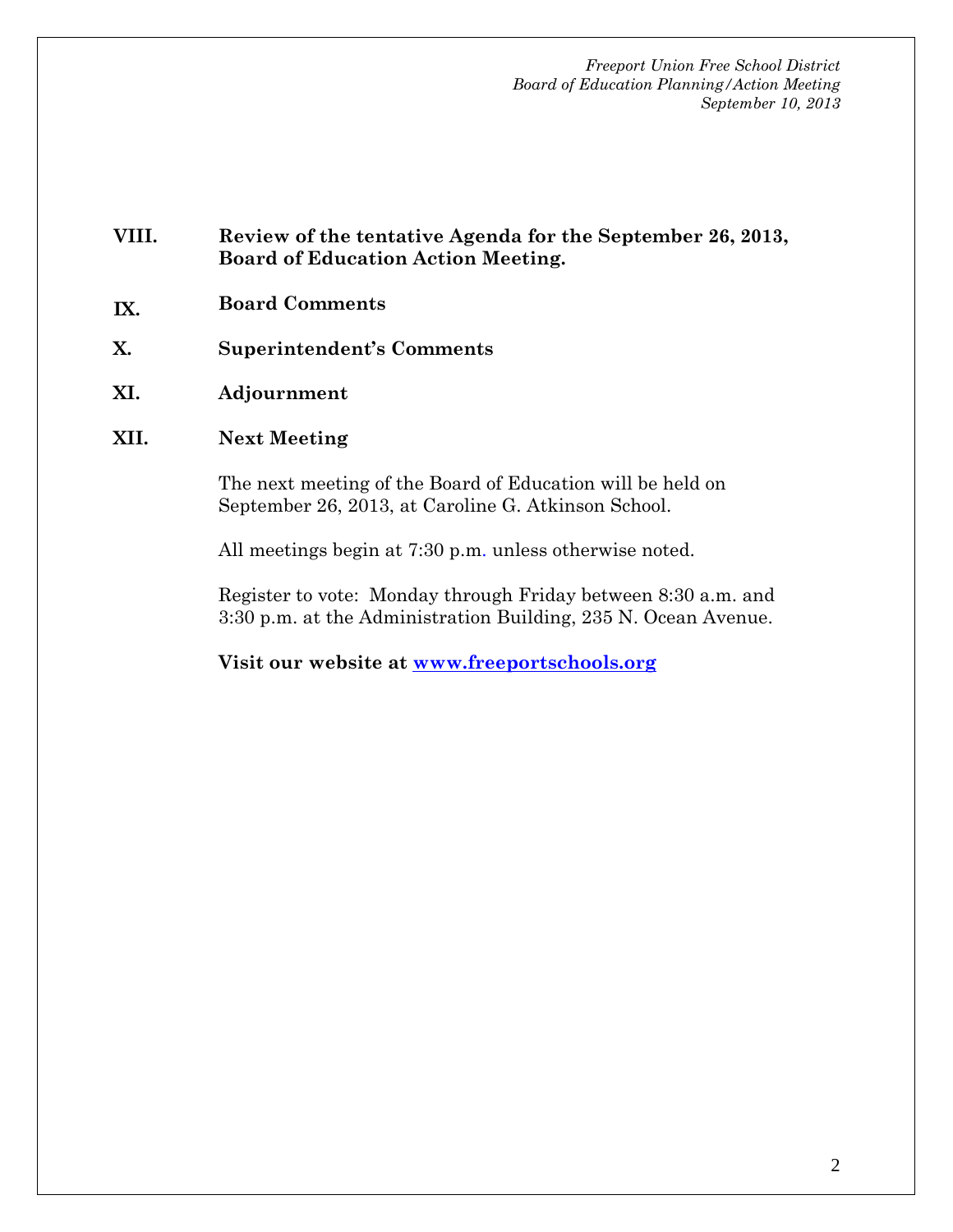#### **VIII. Review of the tentative Agenda for the September 26, 2013, Board of Education Action Meeting.**

- **IX. Board Comments**
- **X. Superintendent's Comments**
- **XI. Adjournment**

#### **XII. Next Meeting**

The next meeting of the Board of Education will be held on September 26, 2013, at Caroline G. Atkinson School.

All meetings begin at 7:30 p.m. unless otherwise noted.

Register to vote: Monday through Friday between 8:30 a.m. and 3:30 p.m. at the Administration Building, 235 N. Ocean Avenue.

**Visit our website at www.freeportschools.org**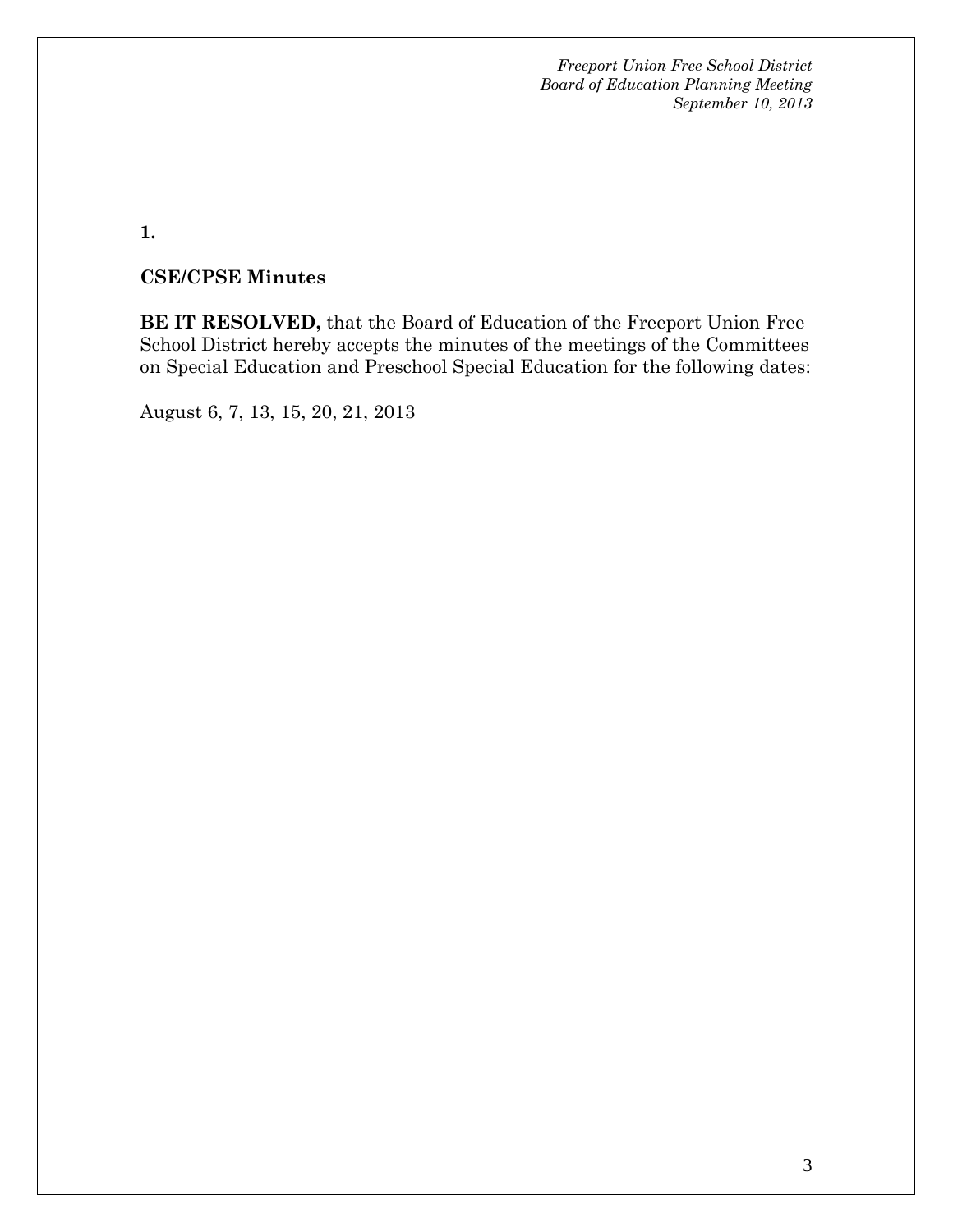**1.** 

### **CSE/CPSE Minutes**

**BE IT RESOLVED,** that the Board of Education of the Freeport Union Free School District hereby accepts the minutes of the meetings of the Committees on Special Education and Preschool Special Education for the following dates:

August 6, 7, 13, 15, 20, 21, 2013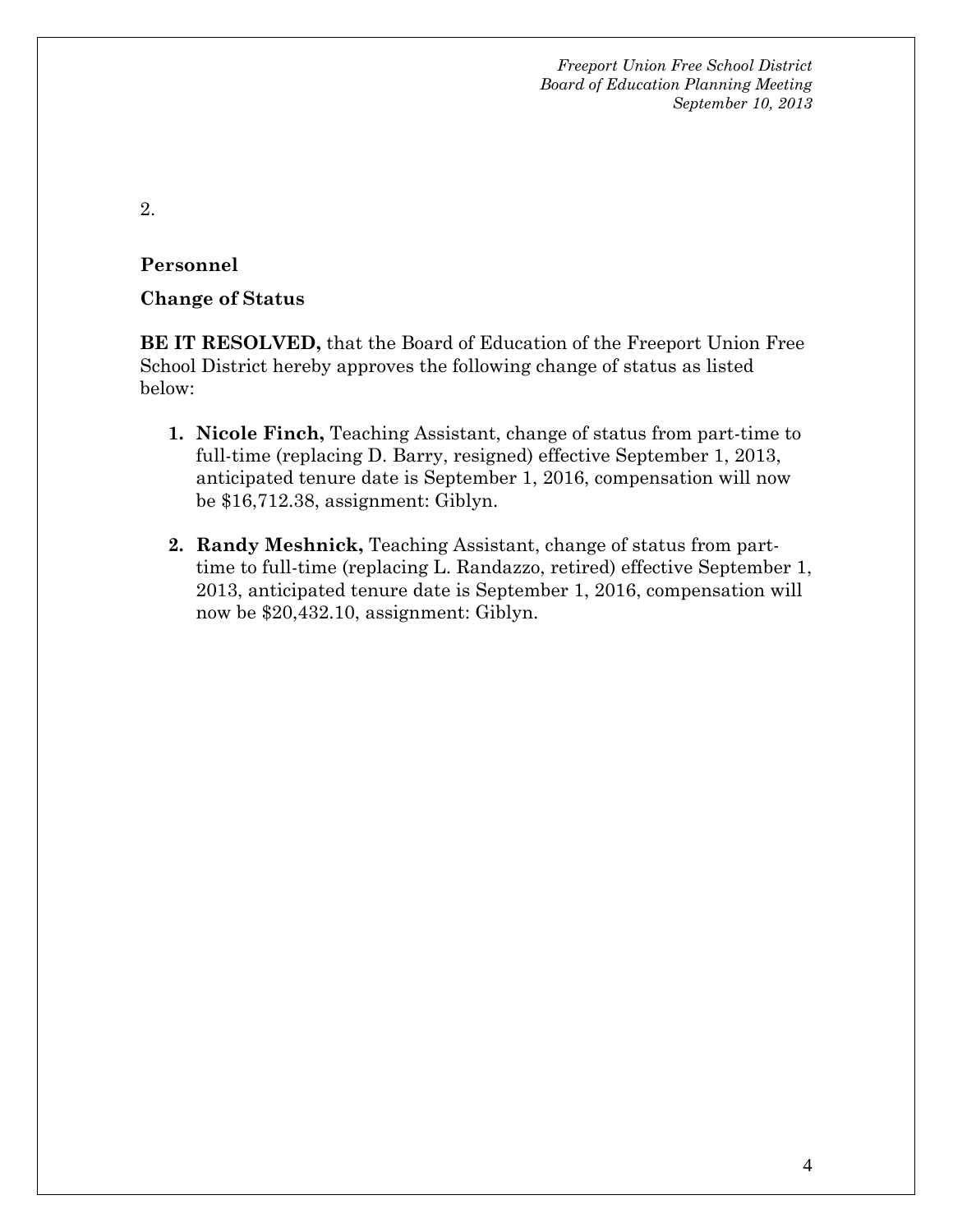2.

### **Personnel**

#### **Change of Status**

**BE IT RESOLVED,** that the Board of Education of the Freeport Union Free School District hereby approves the following change of status as listed below:

- **1. Nicole Finch,** Teaching Assistant, change of status from part-time to full-time (replacing D. Barry, resigned) effective September 1, 2013, anticipated tenure date is September 1, 2016, compensation will now be \$16,712.38, assignment: Giblyn.
- **2. Randy Meshnick,** Teaching Assistant, change of status from parttime to full-time (replacing L. Randazzo, retired) effective September 1, 2013, anticipated tenure date is September 1, 2016, compensation will now be \$20,432.10, assignment: Giblyn.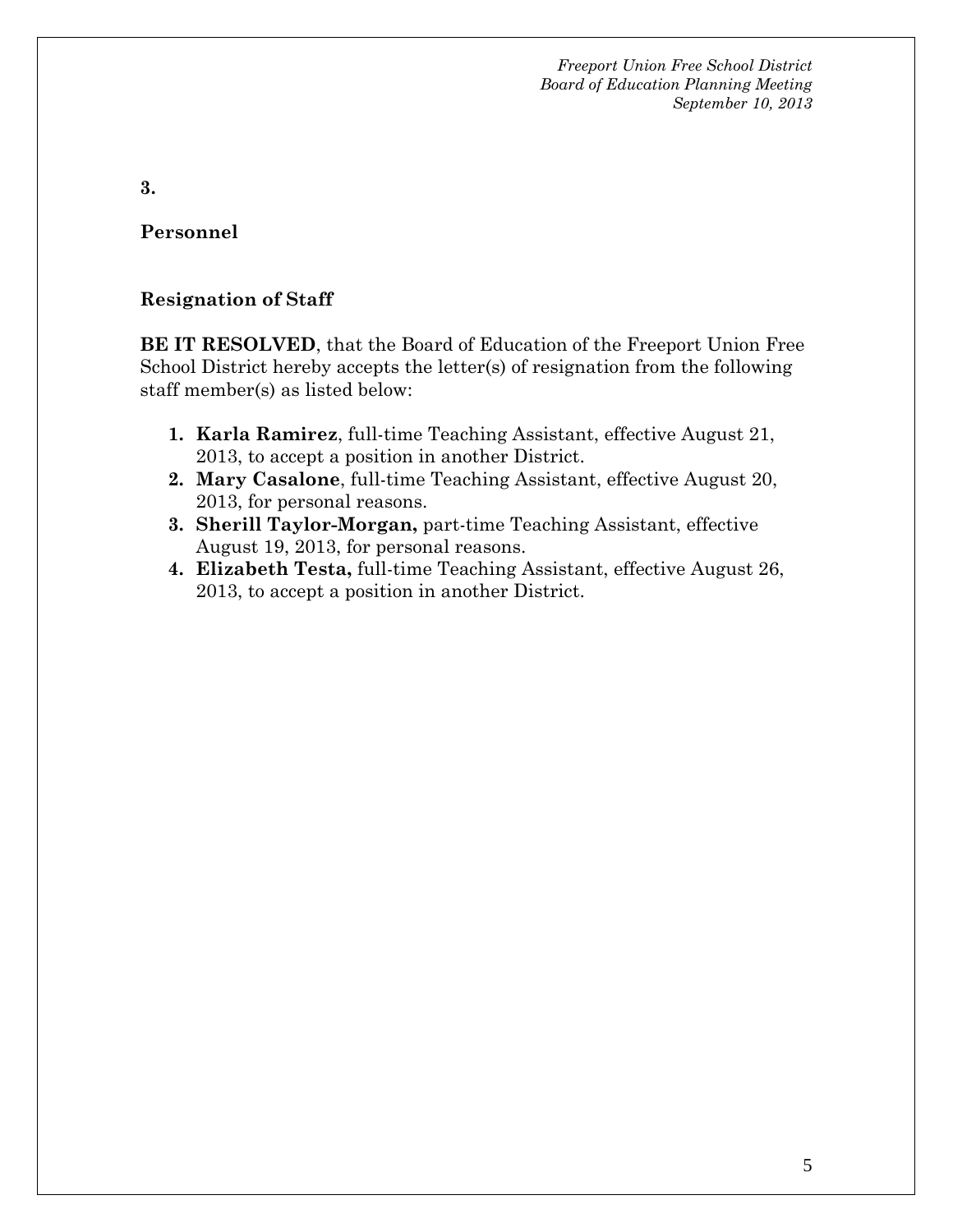**3.**

**Personnel**

#### **Resignation of Staff**

**BE IT RESOLVED**, that the Board of Education of the Freeport Union Free School District hereby accepts the letter(s) of resignation from the following staff member(s) as listed below:

- **1. Karla Ramirez**, full-time Teaching Assistant, effective August 21, 2013, to accept a position in another District.
- **2. Mary Casalone**, full-time Teaching Assistant, effective August 20, 2013, for personal reasons.
- **3. Sherill Taylor-Morgan,** part-time Teaching Assistant, effective August 19, 2013, for personal reasons.
- **4. Elizabeth Testa,** full-time Teaching Assistant, effective August 26, 2013, to accept a position in another District.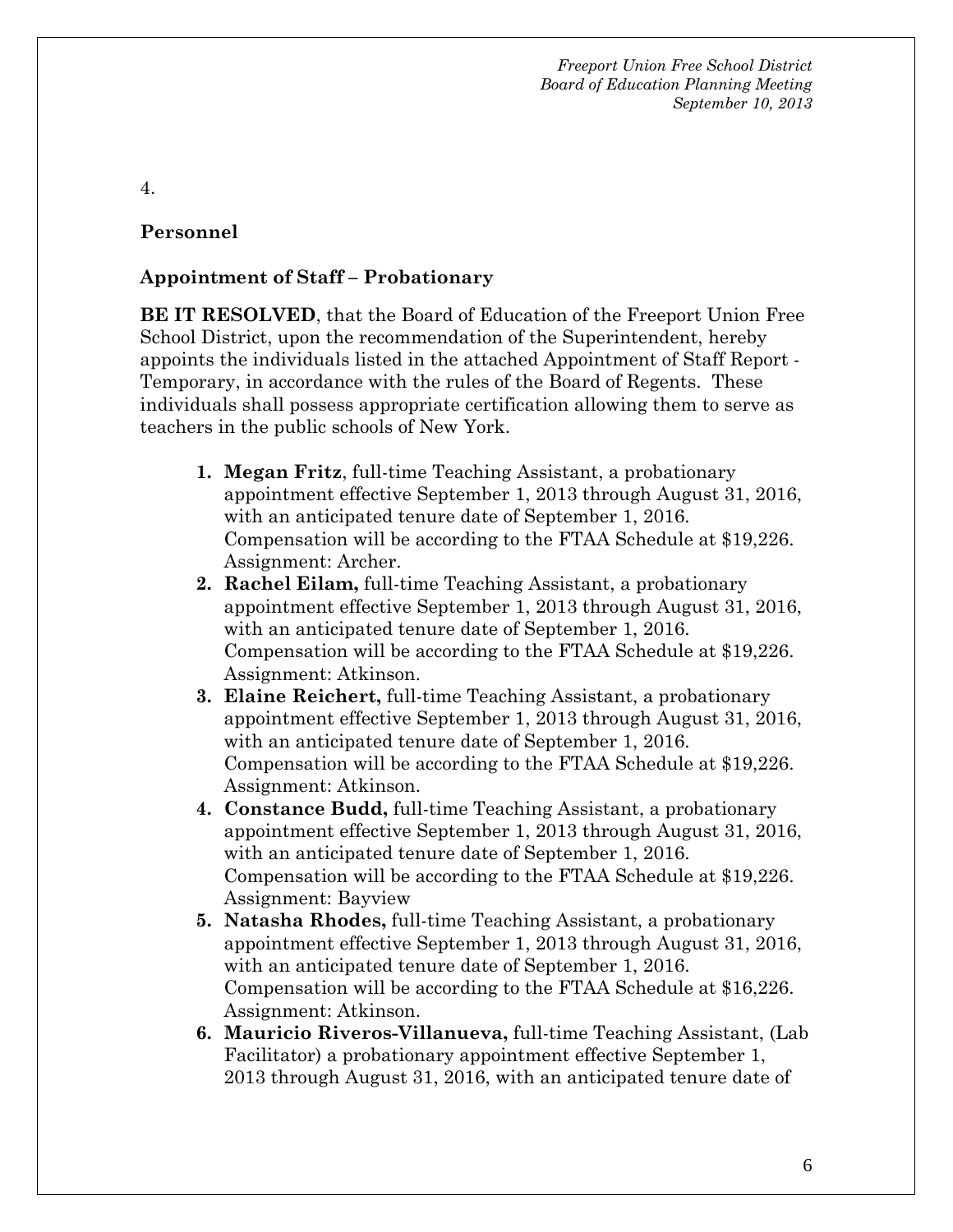4.

#### **Personnel**

#### **Appointment of Staff – Probationary**

**BE IT RESOLVED**, that the Board of Education of the Freeport Union Free School District, upon the recommendation of the Superintendent, hereby appoints the individuals listed in the attached Appointment of Staff Report - Temporary, in accordance with the rules of the Board of Regents. These individuals shall possess appropriate certification allowing them to serve as teachers in the public schools of New York.

- **1. Megan Fritz**, full-time Teaching Assistant, a probationary appointment effective September 1, 2013 through August 31, 2016, with an anticipated tenure date of September 1, 2016. Compensation will be according to the FTAA Schedule at \$19,226. Assignment: Archer.
- **2. Rachel Eilam,** full-time Teaching Assistant, a probationary appointment effective September 1, 2013 through August 31, 2016, with an anticipated tenure date of September 1, 2016. Compensation will be according to the FTAA Schedule at \$19,226. Assignment: Atkinson.
- **3. Elaine Reichert,** full-time Teaching Assistant, a probationary appointment effective September 1, 2013 through August 31, 2016, with an anticipated tenure date of September 1, 2016. Compensation will be according to the FTAA Schedule at \$19,226. Assignment: Atkinson.
- **4. Constance Budd,** full-time Teaching Assistant, a probationary appointment effective September 1, 2013 through August 31, 2016, with an anticipated tenure date of September 1, 2016. Compensation will be according to the FTAA Schedule at \$19,226. Assignment: Bayview
- **5. Natasha Rhodes,** full-time Teaching Assistant, a probationary appointment effective September 1, 2013 through August 31, 2016, with an anticipated tenure date of September 1, 2016. Compensation will be according to the FTAA Schedule at \$16,226. Assignment: Atkinson.
- **6. Mauricio Riveros-Villanueva,** full-time Teaching Assistant, (Lab Facilitator) a probationary appointment effective September 1, 2013 through August 31, 2016, with an anticipated tenure date of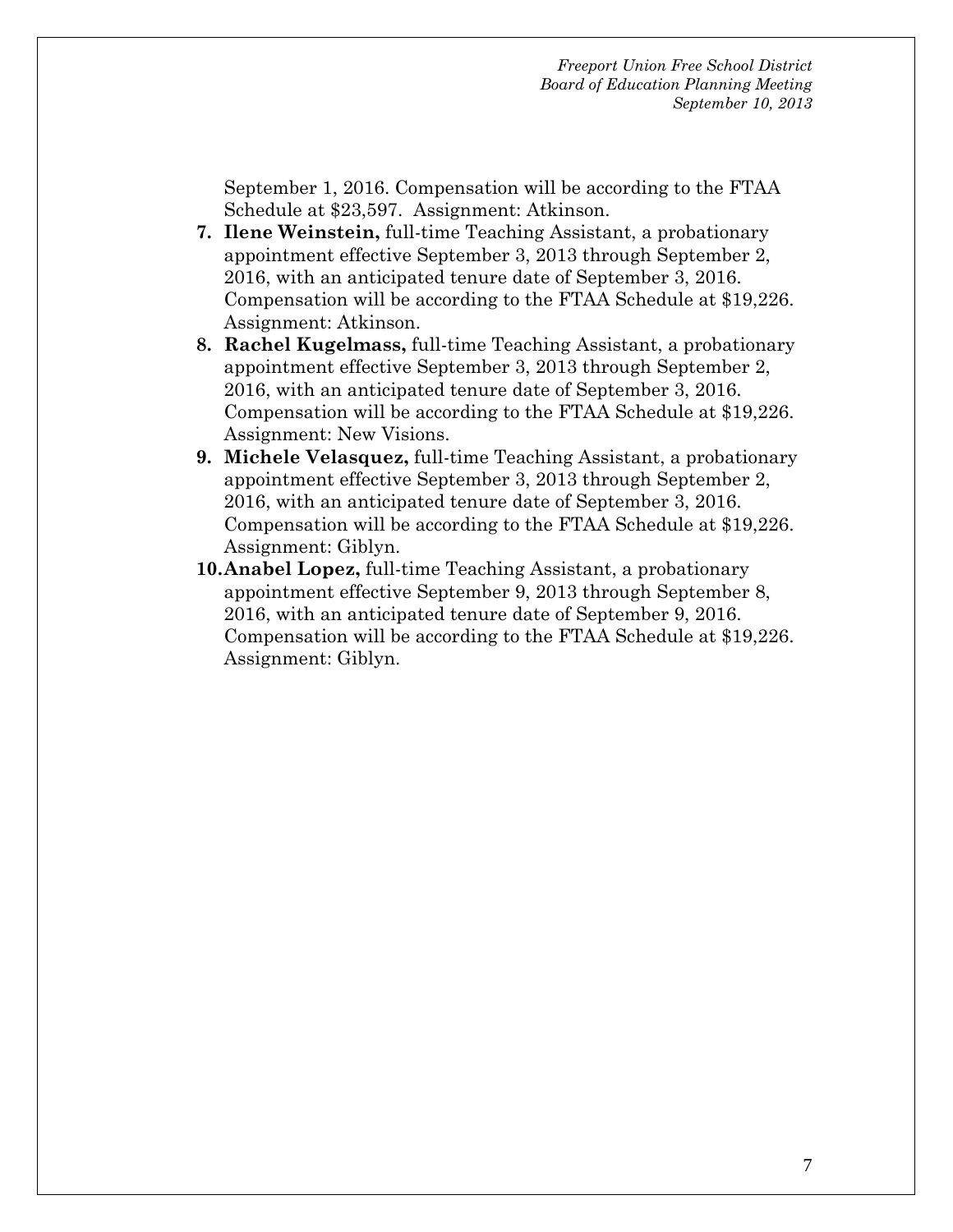September 1, 2016. Compensation will be according to the FTAA Schedule at \$23,597. Assignment: Atkinson.

- **7. Ilene Weinstein,** full-time Teaching Assistant, a probationary appointment effective September 3, 2013 through September 2, 2016, with an anticipated tenure date of September 3, 2016. Compensation will be according to the FTAA Schedule at \$19,226. Assignment: Atkinson.
- **8. Rachel Kugelmass,** full-time Teaching Assistant, a probationary appointment effective September 3, 2013 through September 2, 2016, with an anticipated tenure date of September 3, 2016. Compensation will be according to the FTAA Schedule at \$19,226. Assignment: New Visions.
- **9. Michele Velasquez,** full-time Teaching Assistant, a probationary appointment effective September 3, 2013 through September 2, 2016, with an anticipated tenure date of September 3, 2016. Compensation will be according to the FTAA Schedule at \$19,226. Assignment: Giblyn.
- **10.Anabel Lopez,** full-time Teaching Assistant, a probationary appointment effective September 9, 2013 through September 8, 2016, with an anticipated tenure date of September 9, 2016. Compensation will be according to the FTAA Schedule at \$19,226. Assignment: Giblyn.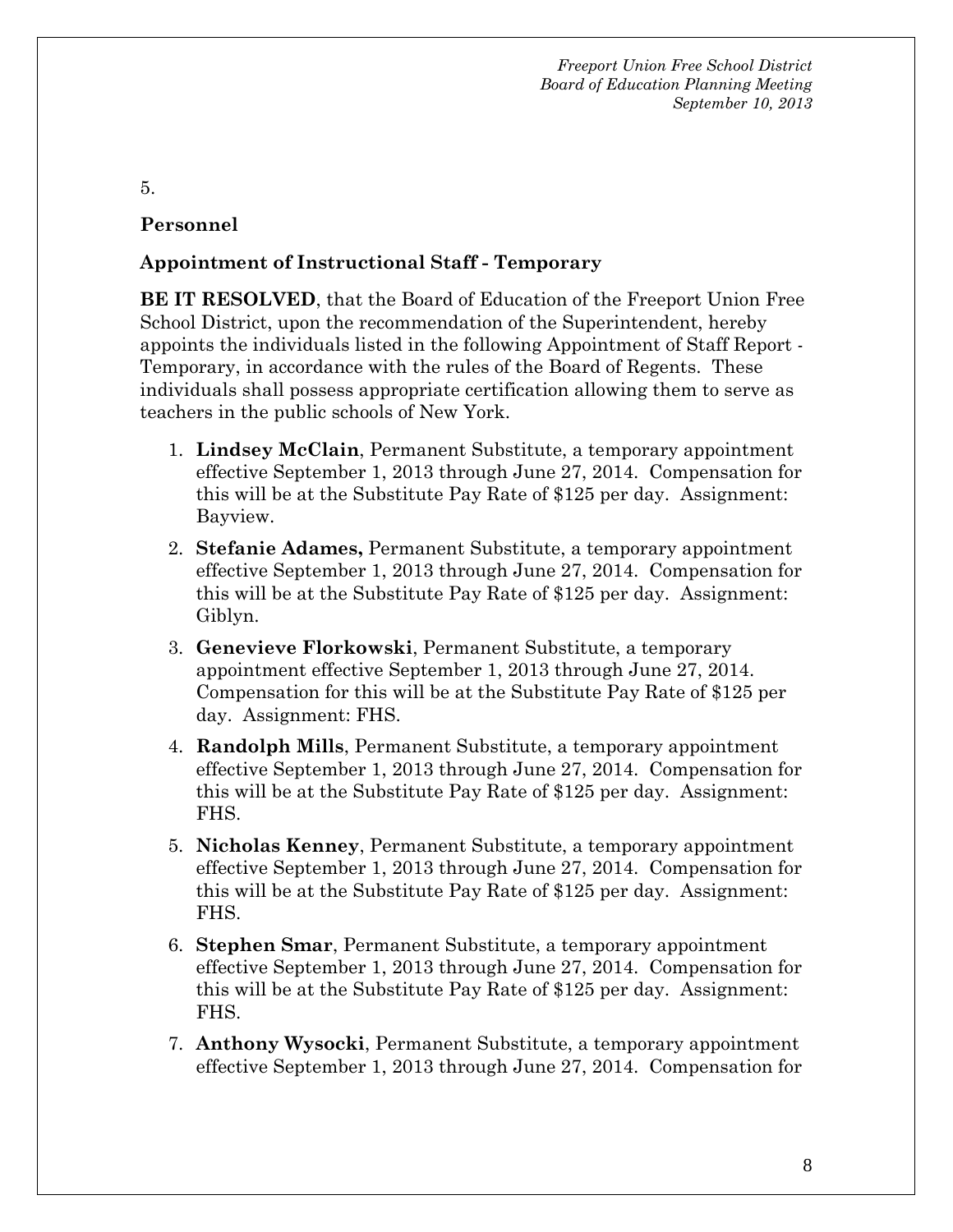#### 5.

## **Personnel**

## **Appointment of Instructional Staff - Temporary**

**BE IT RESOLVED**, that the Board of Education of the Freeport Union Free School District, upon the recommendation of the Superintendent, hereby appoints the individuals listed in the following Appointment of Staff Report - Temporary, in accordance with the rules of the Board of Regents. These individuals shall possess appropriate certification allowing them to serve as teachers in the public schools of New York.

- 1. **Lindsey McClain**, Permanent Substitute, a temporary appointment effective September 1, 2013 through June 27, 2014. Compensation for this will be at the Substitute Pay Rate of \$125 per day. Assignment: Bayview.
- 2. **Stefanie Adames,** Permanent Substitute, a temporary appointment effective September 1, 2013 through June 27, 2014. Compensation for this will be at the Substitute Pay Rate of \$125 per day. Assignment: Giblyn.
- 3. **Genevieve Florkowski**, Permanent Substitute, a temporary appointment effective September 1, 2013 through June 27, 2014. Compensation for this will be at the Substitute Pay Rate of \$125 per day. Assignment: FHS.
- 4. **Randolph Mills**, Permanent Substitute, a temporary appointment effective September 1, 2013 through June 27, 2014. Compensation for this will be at the Substitute Pay Rate of \$125 per day. Assignment: FHS.
- 5. **Nicholas Kenney**, Permanent Substitute, a temporary appointment effective September 1, 2013 through June 27, 2014. Compensation for this will be at the Substitute Pay Rate of \$125 per day. Assignment: FHS.
- 6. **Stephen Smar**, Permanent Substitute, a temporary appointment effective September 1, 2013 through June 27, 2014. Compensation for this will be at the Substitute Pay Rate of \$125 per day. Assignment: FHS.
- 7. **Anthony Wysocki**, Permanent Substitute, a temporary appointment effective September 1, 2013 through June 27, 2014. Compensation for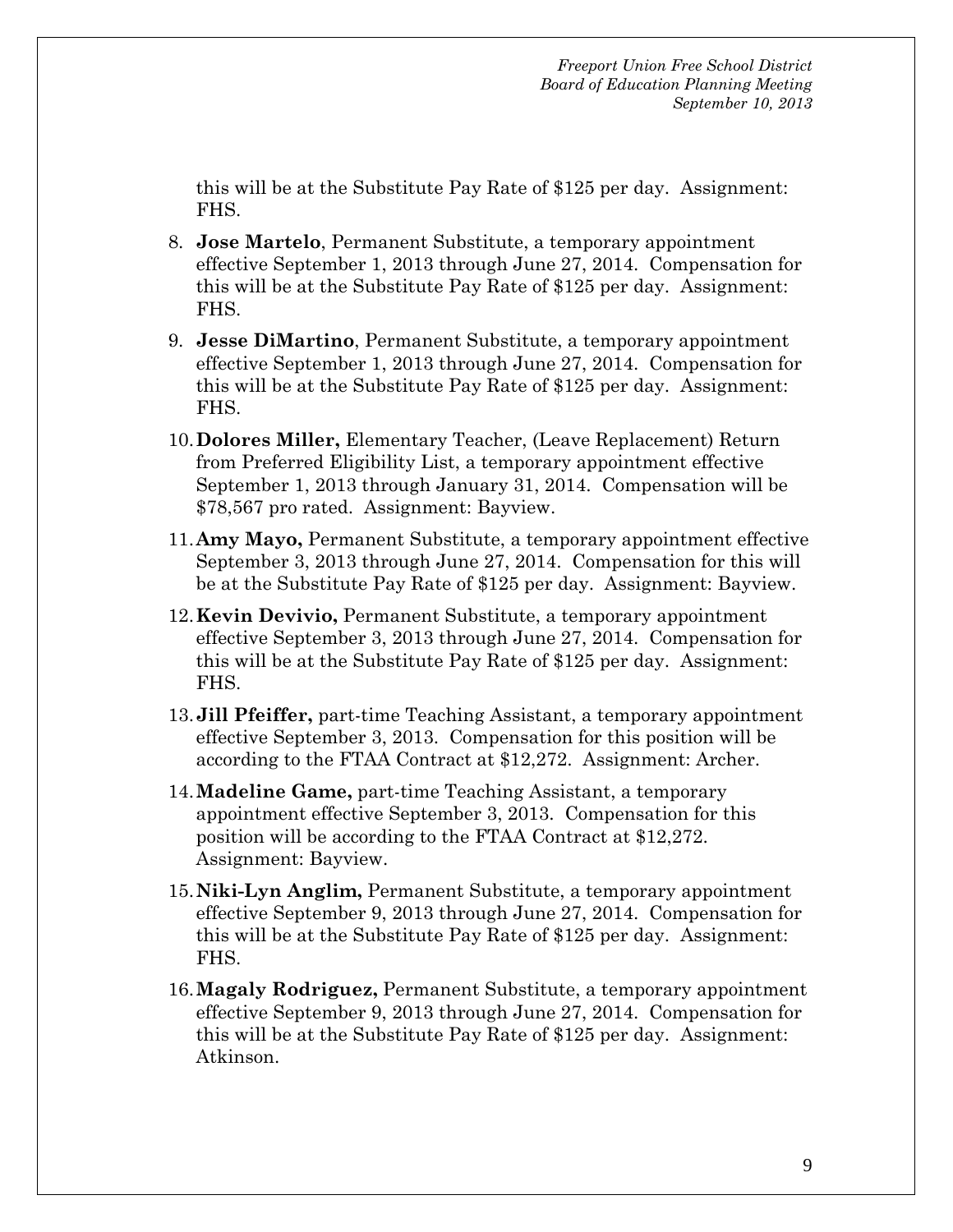this will be at the Substitute Pay Rate of \$125 per day. Assignment: FHS.

- 8. **Jose Martelo**, Permanent Substitute, a temporary appointment effective September 1, 2013 through June 27, 2014. Compensation for this will be at the Substitute Pay Rate of \$125 per day. Assignment: FHS.
- 9. **Jesse DiMartino**, Permanent Substitute, a temporary appointment effective September 1, 2013 through June 27, 2014. Compensation for this will be at the Substitute Pay Rate of \$125 per day. Assignment: FHS.
- 10.**Dolores Miller,** Elementary Teacher, (Leave Replacement) Return from Preferred Eligibility List, a temporary appointment effective September 1, 2013 through January 31, 2014. Compensation will be \$78,567 pro rated. Assignment: Bayview.
- 11.**Amy Mayo,** Permanent Substitute, a temporary appointment effective September 3, 2013 through June 27, 2014. Compensation for this will be at the Substitute Pay Rate of \$125 per day. Assignment: Bayview.
- 12.**Kevin Devivio,** Permanent Substitute, a temporary appointment effective September 3, 2013 through June 27, 2014. Compensation for this will be at the Substitute Pay Rate of \$125 per day. Assignment: FHS.
- 13.**Jill Pfeiffer,** part-time Teaching Assistant, a temporary appointment effective September 3, 2013. Compensation for this position will be according to the FTAA Contract at \$12,272. Assignment: Archer.
- 14.**Madeline Game,** part-time Teaching Assistant, a temporary appointment effective September 3, 2013. Compensation for this position will be according to the FTAA Contract at \$12,272. Assignment: Bayview.
- 15.**Niki-Lyn Anglim,** Permanent Substitute, a temporary appointment effective September 9, 2013 through June 27, 2014. Compensation for this will be at the Substitute Pay Rate of \$125 per day. Assignment: FHS.
- 16.**Magaly Rodriguez,** Permanent Substitute, a temporary appointment effective September 9, 2013 through June 27, 2014. Compensation for this will be at the Substitute Pay Rate of \$125 per day. Assignment: Atkinson.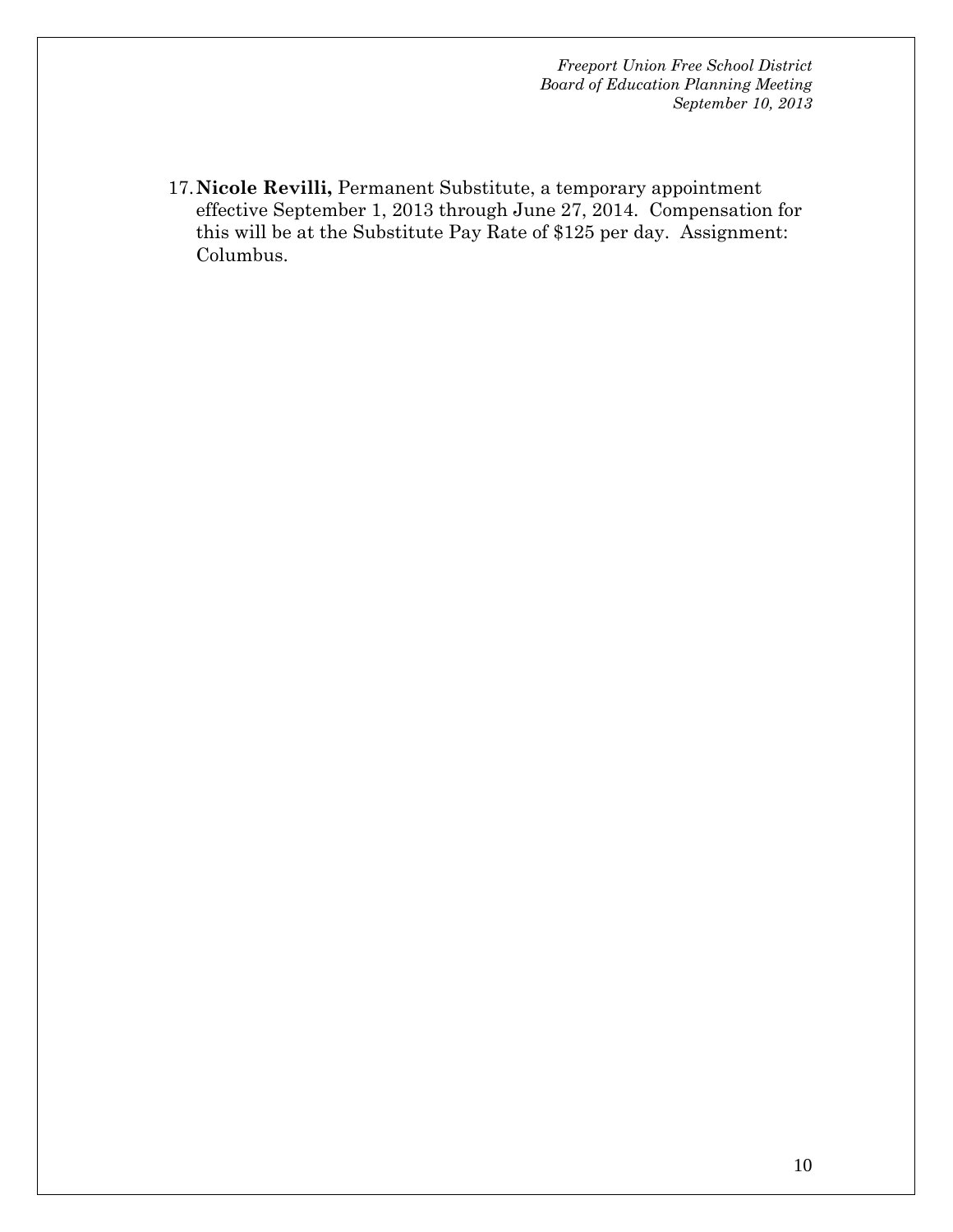17.**Nicole Revilli,** Permanent Substitute, a temporary appointment effective September 1, 2013 through June 27, 2014. Compensation for this will be at the Substitute Pay Rate of \$125 per day. Assignment: Columbus.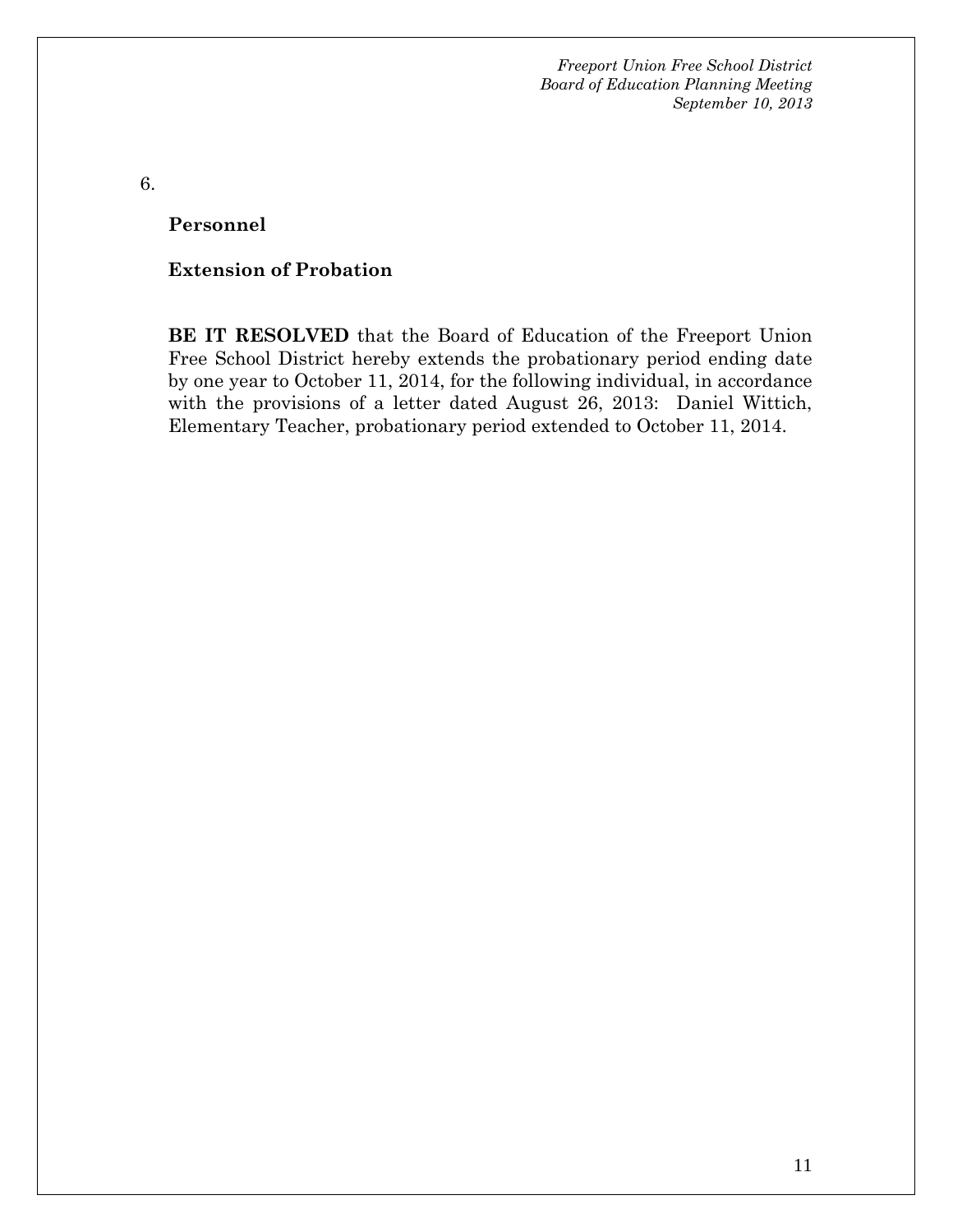6.

**Personnel** 

#### **Extension of Probation**

**BE IT RESOLVED** that the Board of Education of the Freeport Union Free School District hereby extends the probationary period ending date by one year to October 11, 2014, for the following individual, in accordance with the provisions of a letter dated August 26, 2013: Daniel Wittich, Elementary Teacher, probationary period extended to October 11, 2014.